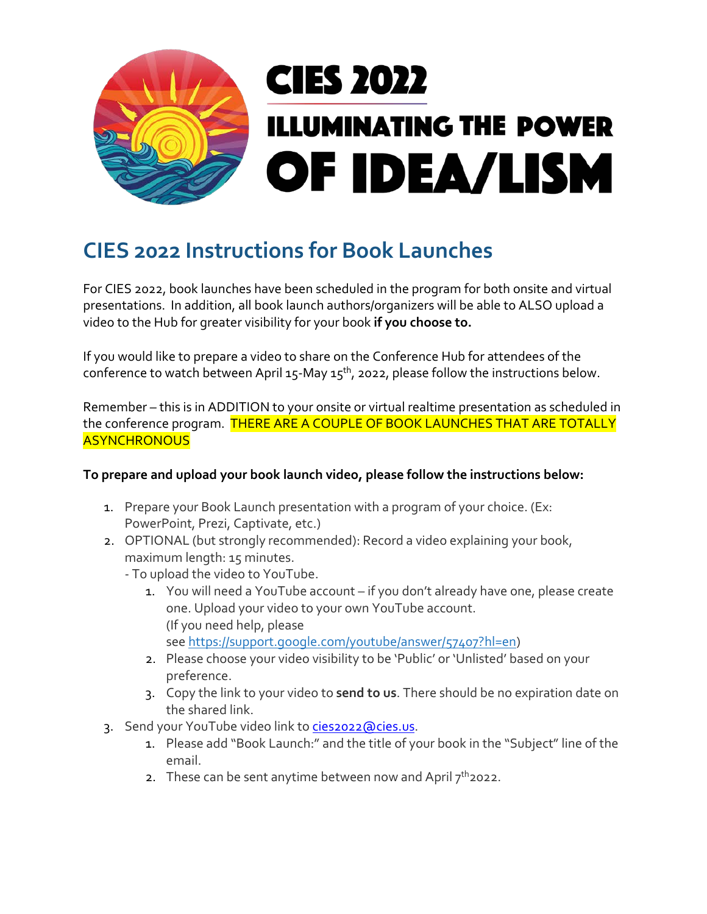

## **CIES 2022 Instructions for Book Launches**

For CIES 2022, book launches have been scheduled in the program for both onsite and virtual presentations. In addition, all book launch authors/organizers will be able to ALSO upload a video to the Hub for greater visibility for your book **if you choose to.**

If you would like to prepare a video to share on the Conference Hub for attendees of the conference to watch between April 15-May 15<sup>th</sup>, 2022, please follow the instructions below.

Remember – this is in ADDITION to your onsite or virtual realtime presentation as scheduled in the conference program. THERE ARE A COUPLE OF BOOK LAUNCHES THAT ARE TOTALLY **ASYNCHRONOUS** 

## **To prepare and upload your book launch video, please follow the instructions below:**

- 1. Prepare your Book Launch presentation with a program of your choice. (Ex: PowerPoint, Prezi, Captivate, etc.)
- 2. OPTIONAL (but strongly recommended): Record a video explaining your book, maximum length: 15 minutes.
	- To upload the video to YouTube.
		- 1. You will need a YouTube account if you don't already have one, please create one. Upload your video to your own YouTube account. (If you need help, please see [https://support.google.com/youtube/answer/57407?hl=en\)](https://support.google.com/youtube/answer/57407?hl=en)
		- 2. Please choose your video visibility to be 'Public' or 'Unlisted' based on your preference.
		- 3. Copy the link to your video to **send to us**. There should be no expiration date on the shared link.
- 3. Send your YouTube video link t[o cies2022@cies.us.](mailto:cies2022@cies.us)
	- 1. Please add "Book Launch:" and the title of your book in the "Subject" line of the email.
	- 2. These can be sent anytime between now and April  $7<sup>th</sup>$ 2022.